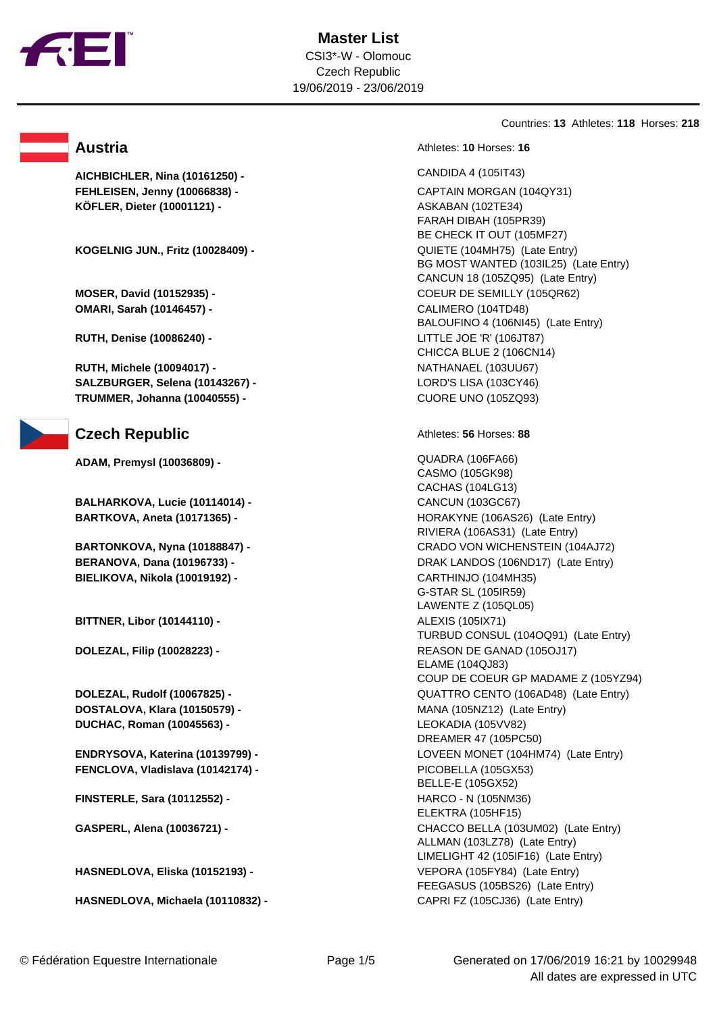

**AICHBICHLER, Nina (10161250) -** CANDIDA 4 (105IT43) **FEHLEISEN, Jenny (10066838) -** CAPTAIN MORGAN (104QY31) **KÖFLER, Dieter (10001121) -** ASKABAN (102TE34)

**KOGELNIG JUN., Fritz (10028409) -** QUIETE (104MH75) (Late Entry)

**OMARI, Sarah (10146457) -** CALIMERO (104TD48)

**RUTH, Denise (10086240) -** LITTLE JOE 'R' (106JT87)

**RUTH, Michele (10094017) -** NATHANAEL (103UU67) **SALZBURGER, Selena (10143267) -** LORD'S LISA (103CY46) **TRUMMER, Johanna (10040555) -** CUORE UNO (105ZQ93)

# Czech Republic Athletes: 56 Horses: 88

**ADAM, Premysl (10036809) -** QUADRA (106FA66)

**BALHARKOVA, Lucie (10114014) -** CANCUN (103GC67)

**BIELIKOVA, Nikola (10019192) -** CARTHINJO (104MH35)

**BITTNER, Libor (10144110) -**  ALEXIS (1051X71)

**DOSTALOVA, Klara (10150579) -** MANA (105NZ12) (Late Entry) **DUCHAC, Roman (10045563) -** LEOKADIA (105VV82)

**FENCLOVA, Vladislava (10142174) -** PICOBELLA (105GX53)

**FINSTERLE, Sara (10112552) -** HARCO - N (105NM36)

**HASNEDLOVA, Eliska (10152193) -** VEPORA (105FY84) (Late Entry)

**HASNEDLOVA, Michaela (10110832) -** CAPRI FZ (105CJ36) (Late Entry)

Countries: **13** Athletes: **118** Horses: **218**

**Austria Austria Austria Athletes: 10** Horses: 16

FARAH DIBAH (105PR39) BE CHECK IT OUT (105MF27) BG MOST WANTED (103IL25) (Late Entry) CANCUN 18 (105ZQ95) (Late Entry) **MOSER, David (10152935) -** COEUR DE SEMILLY (105QR62) BALOUFINO 4 (106NI45) (Late Entry) CHICCA BLUE 2 (106CN14)

CASMO (105GK98) CACHAS (104LG13) **BARTKOVA, Aneta (10171365) -** HORAKYNE (106AS26) (Late Entry) RIVIERA (106AS31) (Late Entry) **BARTONKOVA, Nyna (10188847) -** CRADO VON WICHENSTEIN (104AJ72) **BERANOVA, Dana (10196733) -** DRAK LANDOS (106ND17) (Late Entry) G-STAR SL (105IR59) LAWENTE Z (105QL05) TURBUD CONSUL (104OQ91) (Late Entry) **DOLEZAL, Filip (10028223) -** REASON DE GANAD (105OJ17) ELAME (104QJ83) COUP DE COEUR GP MADAME Z (105YZ94) **DOLEZAL, Rudolf (10067825) -** QUATTRO CENTO (106AD48) (Late Entry) DREAMER 47 (105PC50) **ENDRYSOVA, Katerina (10139799) -** LOVEEN MONET (104HM74) (Late Entry) BELLE-E (105GX52) ELEKTRA (105HF15) **GASPERL, Alena (10036721) -** CHACCO BELLA (103UM02) (Late Entry) ALLMAN (103LZ78) (Late Entry) LIMELIGHT 42 (105IF16) (Late Entry) FEEGASUS (105BS26) (Late Entry)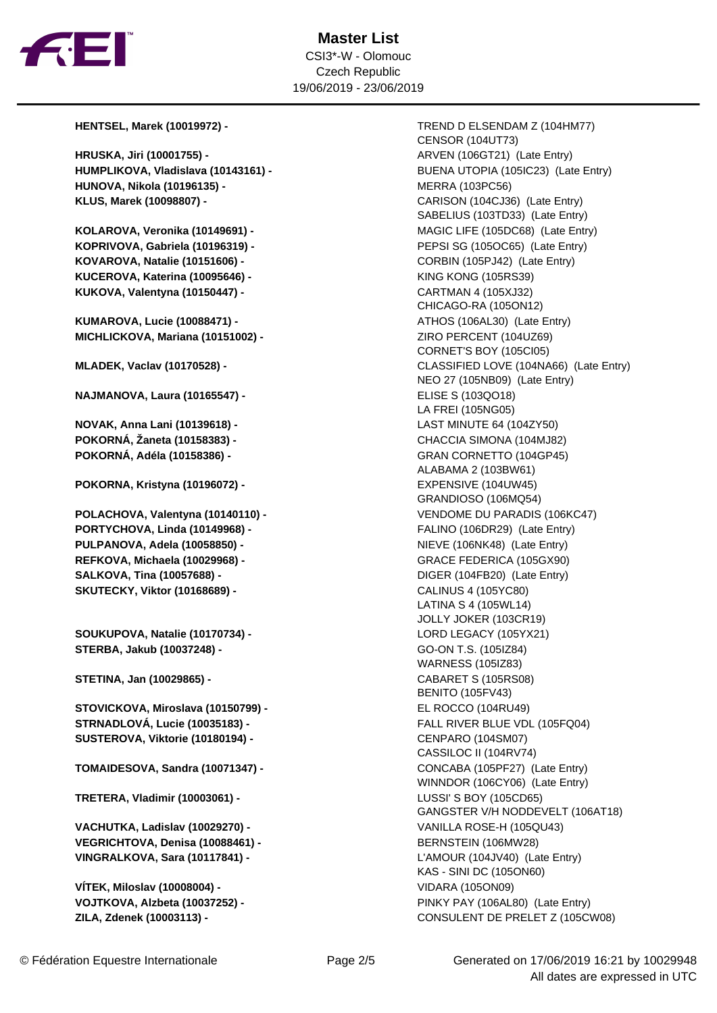

**HRUSKA, Jiri (10001755) - <br>ARVEN (106GT21) (Late Entry) HUMPLIKOVA, Vladislava (10143161) -** BUENA UTOPIA (105IC23) (Late Entry) **HUNOVA, Nikola (10196135) -** MERRA (103PC56) **KLUS, Marek (10098807) -** CARISON (104CJ36) (Late Entry)

**KOPRIVOVA, Gabriela (10196319) -** PEPSI SG (105OC65) (Late Entry) **KOVAROVA, Natalie (10151606) -** CORBIN (105PJ42) (Late Entry) **KUCEROVA, Katerina (10095646) -** KING KONG (105RS39) **KUKOVA, Valentyna (10150447) -** CARTMAN 4 (105XJ32)

**KUMAROVA, Lucie (10088471) -** ATHOS (106AL30) (Late Entry) **MICHLICKOVA, Mariana (10151002) -** ZIRO PERCENT (104UZ69)

**NAJMANOVA, Laura (10165547) -** ELISE S (103QO18)

**NOVAK, Anna Lani (10139618) -** LAST MINUTE 64 (104ZY50) **POKORNÁ, Žaneta (10158383) -** CHACCIA SIMONA (104MJ82) **POKORNÁ, Adéla (10158386) -** GRAN CORNETTO (104GP45)

**POKORNA, Kristyna (10196072) - <br>EXPENSIVE (104UW45)** 

**PORTYCHOVA, Linda (10149968) -** FALINO (106DR29) (Late Entry) **PULPANOVA, Adela (10058850) -** NIEVE (106NK48) (Late Entry) **REFKOVA, Michaela (10029968) -** GRACE FEDERICA (105GX90) **SALKOVA, Tina (10057688) -** DIGER (104FB20) (Late Entry) **SKUTECKY, Viktor (10168689) -** CALINUS 4 (105YC80)

**SOUKUPOVA, Natalie (10170734) -** LORD LEGACY (105YX21) **STERBA, Jakub (10037248) -** GO-ON T.S. (105IZ84)

**STETINA, Jan (10029865) -** CABARET S (105RS08)

**STOVICKOVA, Miroslava (10150799) -** EL ROCCO (104RU49) **STRNADLOVÁ, Lucie (10035183) -** FALL RIVER BLUE VDL (105FQ04) **SUSTEROVA, Viktorie (10180194) -** CENPARO (104SM07)

**TOMAIDESOVA, Sandra (10071347) -** CONCABA (105PF27) (Late Entry)

**TRETERA, Vladimir (10003061) -** LUSSI' S BOY (105CD65)

**VACHUTKA, Ladislav (10029270) -** VANILLA ROSE-H (105QU43) **VEGRICHTOVA, Denisa (10088461) -** BERNSTEIN (106MW28) **VINGRALKOVA, Sara (10117841) -** L'AMOUR (104JV40) (Late Entry)

**VÍTEK, Miloslav (10008004) -** VIDARA (105ON09) **ZILA, Zdenek (10003113) -** CONSULENT DE PRELET Z (105CW08)

**HENTSEL, Marek (10019972) -** TREND D ELSENDAM Z (104HM77) CENSOR (104UT73) SABELIUS (103TD33) (Late Entry) **KOLAROVA, Veronika (10149691) -** MAGIC LIFE (105DC68) (Late Entry) CHICAGO-RA (105ON12) CORNET'S BOY (105CI05) **MLADEK, Vaclav (10170528) -** CLASSIFIED LOVE (104NA66) (Late Entry) NEO 27 (105NB09) (Late Entry) LA FREI (105NG05) ALABAMA 2 (103BW61) GRANDIOSO (106MQ54) **POLACHOVA, Valentyna (10140110) -** VENDOME DU PARADIS (106KC47) LATINA S 4 (105WL14) JOLLY JOKER (103CR19) WARNESS (105IZ83) BENITO (105FV43) CASSILOC II (104RV74) WINNDOR (106CY06) (Late Entry) GANGSTER V/H NODDEVELT (106AT18) KAS - SINI DC (105ON60) **VOJTKOVA, Alzbeta (10037252) -** PINKY PAY (106AL80) (Late Entry)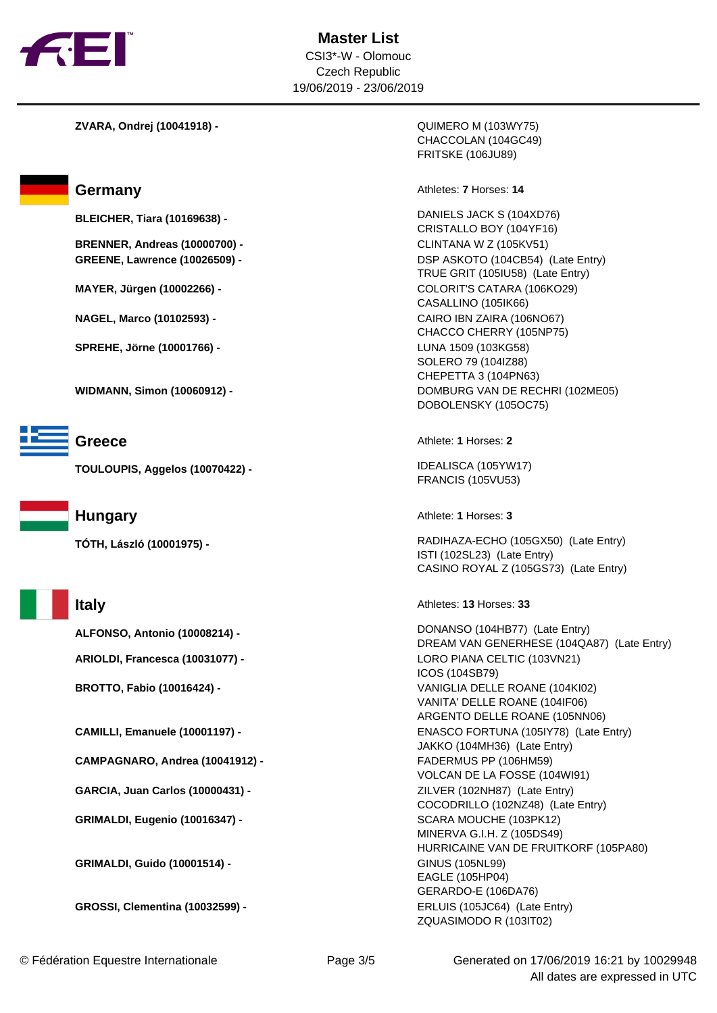

**ZVARA, Ondrej (10041918) -** QUIMERO M (103WY75)

**BRENNER, Andreas (10000700) -** CLINTANA W Z (105KV51)

**SPREHE, Jörne (10001766) -** LUNA 1509 (103KG58)



**TOULOUPIS, Aggelos (10070422) -** IDEALISCA (105YW17)



**CAMPAGNARO, Andrea (10041912) -** FADERMUS PP (106HM59)

**GARCIA, Juan Carlos (10000431) -** ZILVER (102NH87) (Late Entry)

**GRIMALDI, Eugenio (10016347) -** SCARA MOUCHE (103PK12)

**GRIMALDI, Guido (10001514) -**   $\qquad \qquad$  GINUS (105NL99)

**GROSSI, Clementina (10032599) -** ERLUIS (105JC64) (Late Entry)

CHACCOLAN (104GC49) FRITSKE (106JU89)

Germany **Athletes: 7** Horses: 14

**BLEICHER, Tiara (10169638) -** DANIELS JACK S (104XD76) CRISTALLO BOY (104YF16) **GREENE, Lawrence (10026509) -** DSP ASKOTO (104CB54) (Late Entry) TRUE GRIT (105IU58) (Late Entry) **MAYER, Jürgen (10002266) -** COLORIT'S CATARA (106KO29) CASALLINO (105IK66) **NAGEL, Marco (10102593) -** CAIRO IBN ZAIRA (106NO67) CHACCO CHERRY (105NP75) SOLERO 79 (104IZ88) CHEPETTA 3 (104PN63) **WIDMANN, Simon (10060912) -** DOMBURG VAN DE RECHRI (102ME05) DOBOLENSKY (105OC75)

**Greece** Athlete: **1** Horses: **2** 

FRANCIS (105VU53)

**Hungary Athlete: 1** Horses: 3

**TÓTH, László (10001975) -** RADIHAZA-ECHO (105GX50) (Late Entry) ISTI (102SL23) (Late Entry) CASINO ROYAL Z (105GS73) (Late Entry)

**Italy** Athletes: **13** Horses: **33** 

**ALFONSO, Antonio (10008214) -** DONANSO (104HB77) (Late Entry) DREAM VAN GENERHESE (104QA87) (Late Entry) **ARIOLDI, Francesca (10031077) -** LORO PIANA CELTIC (103VN21) ICOS (104SB79) **BROTTO, Fabio (10016424) -** VANIGLIA DELLE ROANE (104KI02) VANITA' DELLE ROANE (104IF06) ARGENTO DELLE ROANE (105NN06) **CAMILLI, Emanuele (10001197) -** ENASCO FORTUNA (105IY78) (Late Entry) JAKKO (104MH36) (Late Entry) VOLCAN DE LA FOSSE (104WI91) COCODRILLO (102NZ48) (Late Entry) MINERVA G.I.H. Z (105DS49) HURRICAINE VAN DE FRUITKORF (105PA80) EAGLE (105HP04) GERARDO-E (106DA76) ZQUASIMODO R (103IT02)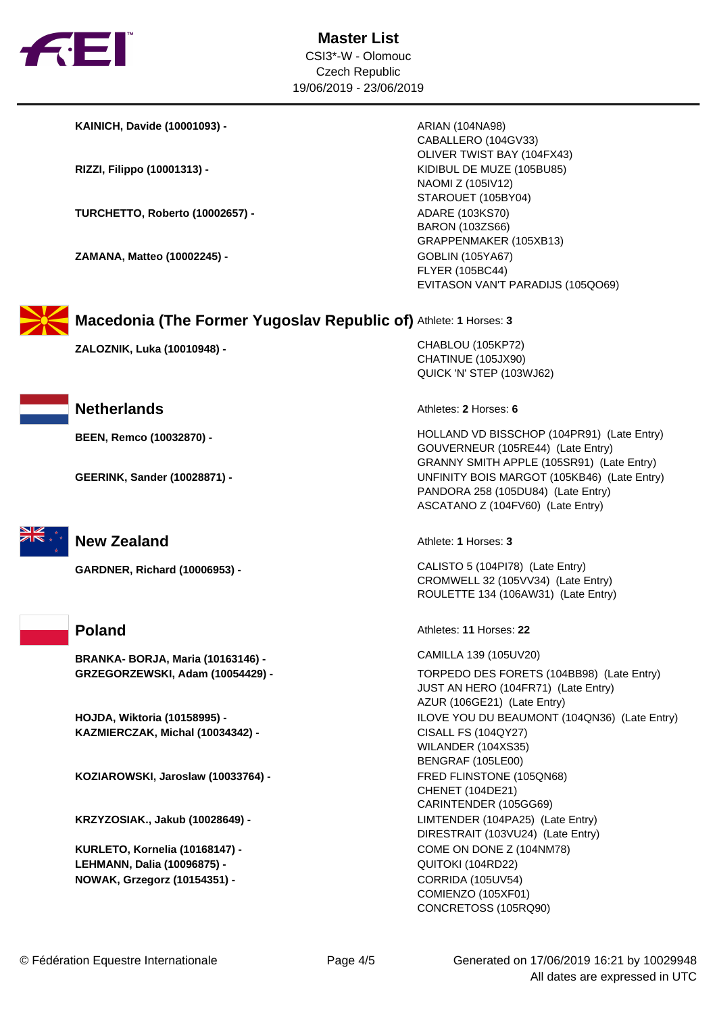

**KAINICH, Davide (10001093) -** ARIAN (104NA98)

**TURCHETTO, Roberto (10002657) - <br>ADARE (103KS70)** 

**ZAMANA, Matteo (10002245) - <br>GOBLIN (105YA67)** 

CABALLERO (104GV33) OLIVER TWIST BAY (104FX43) **RIZZI, Filippo (10001313) -** KIDIBUL DE MUZE (105BU85) NAOMI Z (105IV12) STAROUET (105BY04) BARON (103ZS66) GRAPPENMAKER (105XB13) FLYER (105BC44) EVITASON VAN'T PARADIJS (105QO69)



**Macedonia (The Former Yugoslav Republic of)** Athlete: **1** Horses: **3**

**ZALOZNIK, Luka (10010948) -** CHABLOU (105KP72)



**Netherlands Athletes: 2** Horses: **6** 



# **New Zealand Athlete: 1** Horses: 3



**BRANKA- BORJA, Maria (10163146) -** CAMILLA 139 (105UV20)

**KAZMIERCZAK, Michal (10034342) -** CISALL FS (104QY27)

**KOZIAROWSKI, Jaroslaw (10033764) -** FRED FLINSTONE (105QN68)

**LEHMANN, Dalia (10096875) -** QUITOKI (104RD22) **NOWAK, Grzegorz (10154351) -** CORRIDA (105UV54)

CHATINUE (105JX90) QUICK 'N' STEP (103WJ62)

**BEEN, Remco (10032870) -** HOLLAND VD BISSCHOP (104PR91) (Late Entry) GOUVERNEUR (105RE44) (Late Entry) GRANNY SMITH APPLE (105SR91) (Late Entry) **GEERINK, Sander (10028871) -** UNFINITY BOIS MARGOT (105KB46) (Late Entry) PANDORA 258 (105DU84) (Late Entry) ASCATANO Z (104FV60) (Late Entry)

**GARDNER, Richard (10006953) -** CALISTO 5 (104PI78) (Late Entry) CROMWELL 32 (105VV34) (Late Entry) ROULETTE 134 (106AW31) (Late Entry)

**Poland** Athletes: **11** Horses: **22** 

**GRZEGORZEWSKI, Adam (10054429) -** TORPEDO DES FORETS (104BB98) (Late Entry) JUST AN HERO (104FR71) (Late Entry) AZUR (106GE21) (Late Entry) **HOJDA, Wiktoria (10158995) -** ILOVE YOU DU BEAUMONT (104QN36) (Late Entry) WILANDER (104XS35) BENGRAF (105LE00) CHENET (104DE21) CARINTENDER (105GG69) **KRZYZOSIAK., Jakub (10028649) -** LIMTENDER (104PA25) (Late Entry) DIRESTRAIT (103VU24) (Late Entry) **KURLETO, Kornelia (10168147) -** COME ON DONE Z (104NM78) COMIENZO (105XF01) CONCRETOSS (105RQ90)